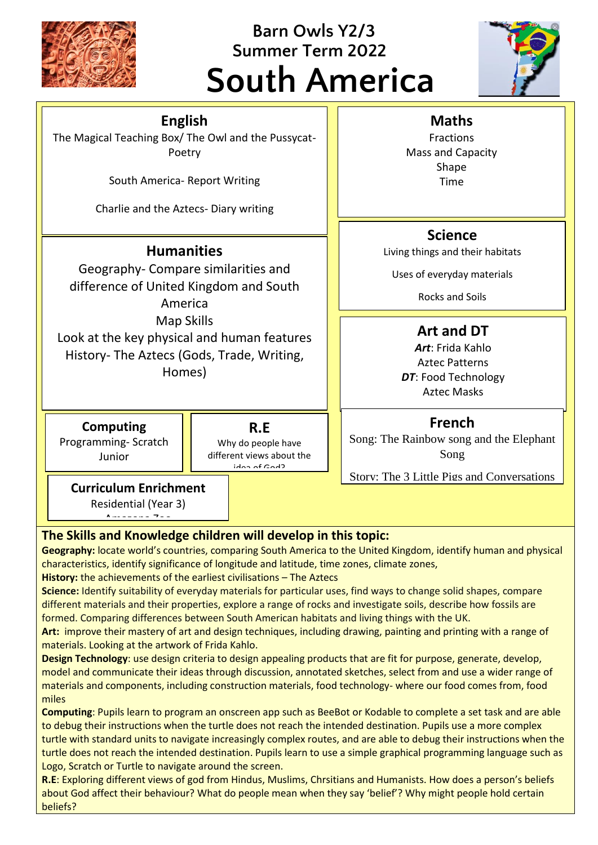

# **Barn Owls Y2/3 Summer Term 2022 South America**



# **Maths**

Fractions Mass and Capacity Shape Time

## **Science**

Living things and their habitats

Uses of everyday materials

Rocks and Soils

# **Art and DT**

*Art*: Frida Kahlo Aztec Patterns *DT*: Food Technology Aztec Masks

#### **French**

Song: The Rainbow song and the Elephant Song

Story: The 3 Little Pigs and Conversations

#### **Curriculum Enrichment**

**Computing** Programming- Scratch Junior

> Residential (Year 3) <u>Amazona Zoo</u>

### **The Skills and Knowledge children will develop in this topic:**

**R.E** Why do people have different views about the idea of God?

**Geography:** locate world's countries, comparing South America to the United Kingdom, identify human and physical characteristics, identify significance of longitude and latitude, time zones, climate zones,

**History:** the achievements of the earliest civilisations – The Aztecs

**English** The Magical Teaching Box/ The Owl and the Pussycat-Poetry

South America- Report Writing

Charlie and the Aztecs- Diary writing

**Humanities** Geography- Compare similarities and difference of United Kingdom and South America Map Skills Look at the key physical and human features History- The Aztecs (Gods, Trade, Writing, Homes)

**Science:** Identify suitability of everyday materials for particular uses, find ways to change solid shapes, compare different materials and their properties, explore a range of rocks and investigate soils, describe how fossils are formed. Comparing differences between South American habitats and living things with the UK.

**Art:** improve their mastery of art and design techniques, including drawing, painting and printing with a range of materials. Looking at the artwork of Frida Kahlo.

**Design Technology**: use design criteria to design appealing products that are fit for purpose, generate, develop, model and communicate their ideas through discussion, annotated sketches, select from and use a wider range of materials and components, including construction materials, food technology- where our food comes from, food miles

**Computing**: Pupils learn to program an onscreen app such as BeeBot or Kodable to complete a set task and are able to debug their instructions when the turtle does not reach the intended destination. Pupils use a more complex turtle with standard units to navigate increasingly complex routes, and are able to debug their instructions when the turtle does not reach the intended destination. Pupils learn to use a simple graphical programming language such as Logo, Scratch or Turtle to navigate around the screen.

**R.E**: Exploring different views of god from Hindus, Muslims, Chrsitians and Humanists. How does a person's beliefs about God affect their behaviour? What do people mean when they say 'belief'? Why might people hold certain beliefs?